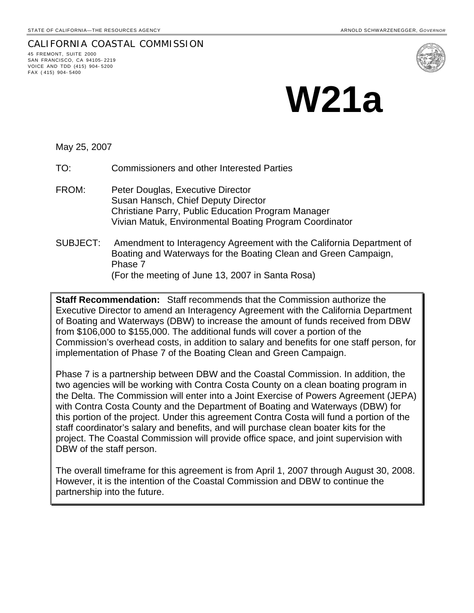## CALIFORNIA COASTAL COMMISSION 45 FREMONT, SUITE 2000 SAN FRANCISCO, CA 94105- 2219 VOICE AND TDD (415) 904- 5200 FAX ( 415) 904- 5400



## **W21a**

May 25, 2007

TO: Commissioners and other Interested Parties

- FROM: Peter Douglas, Executive Director Susan Hansch, Chief Deputy Director Christiane Parry, Public Education Program Manager Vivian Matuk, Environmental Boating Program Coordinator
- SUBJECT: Amendment to Interagency Agreement with the California Department of Boating and Waterways for the Boating Clean and Green Campaign, Phase 7 (For the meeting of June 13, 2007 in Santa Rosa)

**Staff Recommendation:** Staff recommends that the Commission authorize the Executive Director to amend an Interagency Agreement with the California Department of Boating and Waterways (DBW) to increase the amount of funds received from DBW from \$106,000 to \$155,000. The additional funds will cover a portion of the Commission's overhead costs, in addition to salary and benefits for one staff person, for implementation of Phase 7 of the Boating Clean and Green Campaign.

Phase 7 is a partnership between DBW and the Coastal Commission. In addition, the two agencies will be working with Contra Costa County on a clean boating program in the Delta. The Commission will enter into a Joint Exercise of Powers Agreement (JEPA) with Contra Costa County and the Department of Boating and Waterways (DBW) for this portion of the project. Under this agreement Contra Costa will fund a portion of the staff coordinator's salary and benefits, and will purchase clean boater kits for the project. The Coastal Commission will provide office space, and joint supervision with DBW of the staff person.

The overall timeframe for this agreement is from April 1, 2007 through August 30, 2008. However, it is the intention of the Coastal Commission and DBW to continue the partnership into the future.